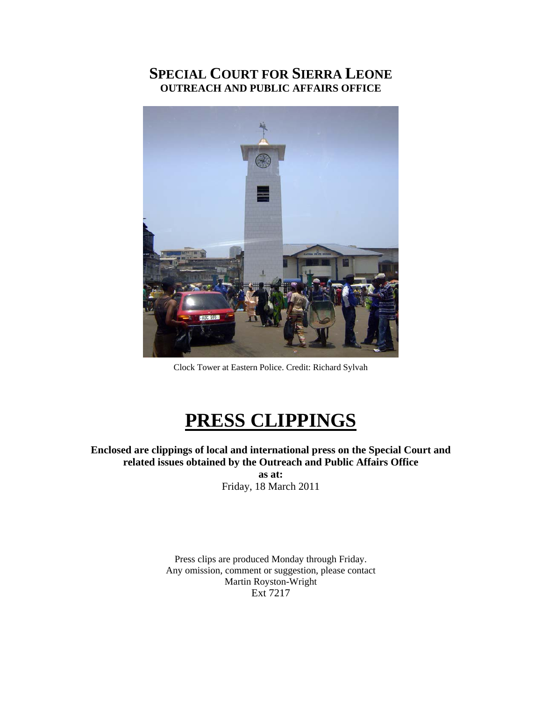## **SPECIAL COURT FOR SIERRA LEONE OUTREACH AND PUBLIC AFFAIRS OFFICE**



Clock Tower at Eastern Police. Credit: Richard Sylvah

## **PRESS CLIPPINGS**

**Enclosed are clippings of local and international press on the Special Court and related issues obtained by the Outreach and Public Affairs Office** 

**as at:**  Friday, 18 March 2011

Press clips are produced Monday through Friday. Any omission, comment or suggestion, please contact Martin Royston-Wright Ext 7217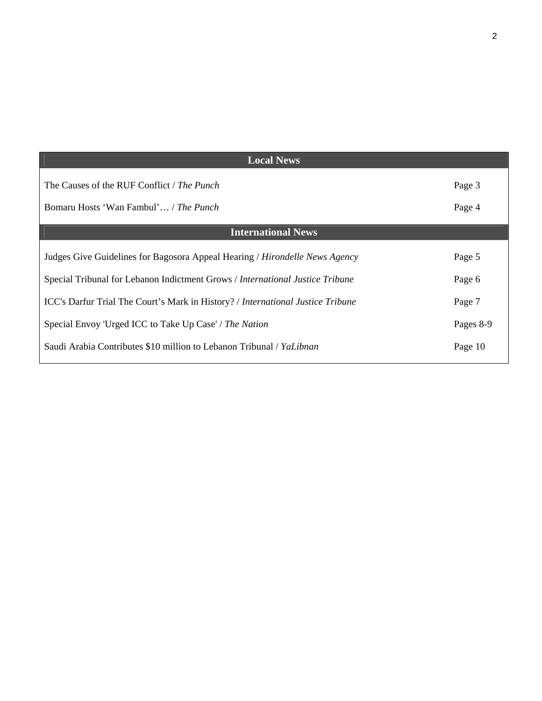| <b>Local News</b>                                                                             |           |
|-----------------------------------------------------------------------------------------------|-----------|
| The Causes of the RUF Conflict / The Punch                                                    | Page 3    |
| Bomaru Hosts 'Wan Fambul' / The Punch                                                         | Page 4    |
| <b>International News</b>                                                                     |           |
| Judges Give Guidelines for Bagosora Appeal Hearing / <i>Hirondelle News Agency</i>            | Page 5    |
| Special Tribunal for Lebanon Indictment Grows / International Justice Tribune                 | Page 6    |
| <b>ICC's Darfur Trial The Court's Mark in History?</b> / <i>International Justice Tribune</i> | Page 7    |
| Special Envoy 'Urged ICC to Take Up Case' / The Nation                                        | Pages 8-9 |
| Saudi Arabia Contributes \$10 million to Lebanon Tribunal / YaLibnan                          | Page 10   |
|                                                                                               |           |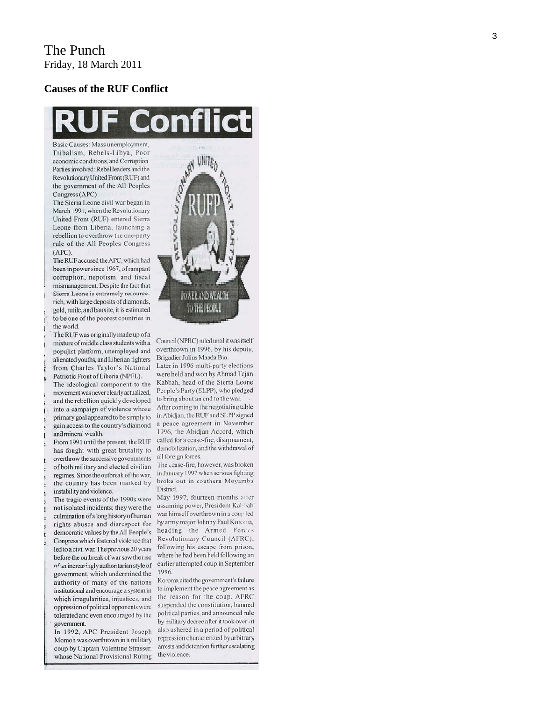## The Punch Friday, 18 March 2011

#### **Causes of the RUF Conflict**



Basic Causes: Mass unemployment, Tribalism, Rebels-Libya, Poor economic conditions, and Corruption Parties involved: Rebel leaders and the Revolutionary United Front (RUF) and the government of the All Peoples Congress (APC)

The Sierra Leone civil war began in March 1991, when the Revolutionary United Front (RUF) entered Sierra Leone from Liberia, launching a rebellion to overthrow the one-party rule of the All Peoples Congress  $(APC)$ 

The RUF accused the APC, which had been in power since 1967, of rampant corruption, nepotism, and fiscal mismanagement. Despite the fact that Sierra Leone is extremely resourcerich, with large deposits of diamonds, gold, rutile, and bauxite, it is estimated to be one of the poorest countries in the world.

The RUF was originally made up of a mixture of middle class students with a populist platform, unemployed and alienated youths, and Liberian fighters from Charles Taylor's National Patriotic Front of Liberia (NPFL).

The ideological component to the movement was never clearly actualized, and the rebellion quickly developed into a campaign of violence whose primary goal appeared to be simply to gain access to the country's diamond and mineral wealth.

From 1991 until the present, the RUF has fought with great brutality to overthrow the successive governments of both military and elected civilian regimes. Since the outbreak of the war, the country has been marked by instability and violence.

The tragic events of the 1990s were not isolated incidents; they were the culmination of a long history of human rights abuses and disrespect for democratic values by the All People's Congress which fostered violence that led to a civil war. The previous 20 years before the outbreak of war saw the rise of an increasingly authoritarian style of government, which undermined the authority of many of the nations institutional and encourage a system in which irregularities, injustices, and oppression of political opponents were tolerated and even encouraged by the government.

In 1992, APC President Joseph Momoh was overthrown in a military coup by Captain Valentine Strasser, whose National Provisional Ruling



Council (NPRC) ruled until it was itself overthrown in 1996, by his deputy, Brigadier Julius Maada Bio.

Later in 1996 multi-party elections were held and won by Ahmad Tejan Kabbah, head of the Sierra Leone People's Party (SLPP), who pledged to bring about an end to the war. After coming to the negotiating table in Abidjan, the RUF and SLPP signed a peace agreement in November 1996, the Abidjan Accord, which called for a cease-fire, disarmament, demobilization, and the withdrawal of all foreign forces.

The cease-fire, however, was broken in January 1997 when serious fighting broke out in southern Moyamba District.

May 1997, fourteen months atter assuming power, President Kahhah was himself overthrown in a coup led by army major Johnny Paul Koroma, heading the Armed Forces Revolutionary Council (AFRC), following his escape from prison, where he had been held following an earlier attempted coup in September 1996.

Koroma cited the government's failure to implement the peace agreement as the reason for the coup. AFRC suspended the constitution, banned political parties, and announced rule by military decree after it took over-it also ushered in a period of political repression characterized by arbitrary arrests and detention further escalating the violence.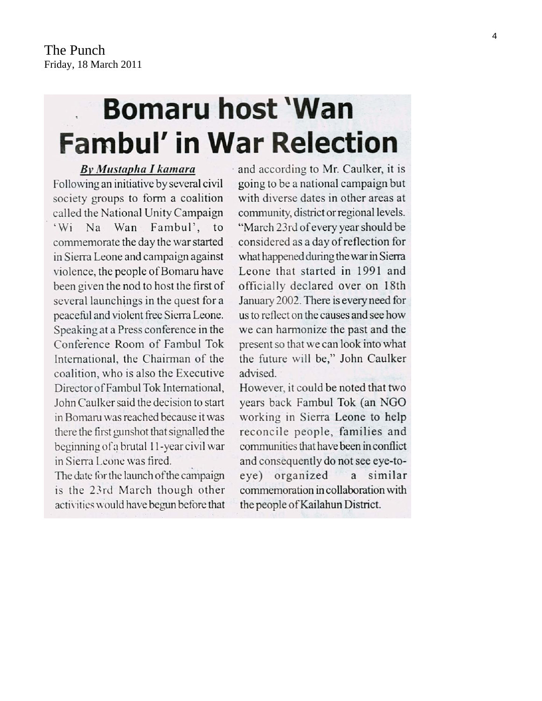# **Bomaru host 'Wan Fambul' in War Relection**

By Mustapha I kamara Following an initiative by several civil society groups to form a coalition called the National Unity Campaign Fambul', to  $Na$ Wan  $W_1$ commemorate the day the war started in Sierra Leone and campaign against violence, the people of Bomaru have been given the nod to host the first of several launchings in the quest for a peaceful and violent free Sierra Leone. Speaking at a Press conference in the Conference Room of Fambul Tok International, the Chairman of the coalition, who is also the Executive Director of Fambul Tok International, John Caulker said the decision to start in Bomaru was reached because it was there the first gunshot that signalled the beginning of a brutal 11-year civil war in Sierra Leone was fired.

The date for the launch of the campaign is the 23rd March though other activities would have begun before that and according to Mr. Caulker, it is going to be a national campaign but with diverse dates in other areas at community, district or regional levels. "March 23rd of every year should be considered as a day of reflection for what happened during the war in Sierra Leone that started in 1991 and officially declared over on 18th January 2002. There is every need for us to reflect on the causes and see how we can harmonize the past and the present so that we can look into what the future will be," John Caulker advised.

However, it could be noted that two years back Fambul Tok (an NGO working in Sierra Leone to help reconcile people, families and communities that have been in conflict and consequently do not see eye-toeye) organized a similar commemoration in collaboration with the people of Kailahun District.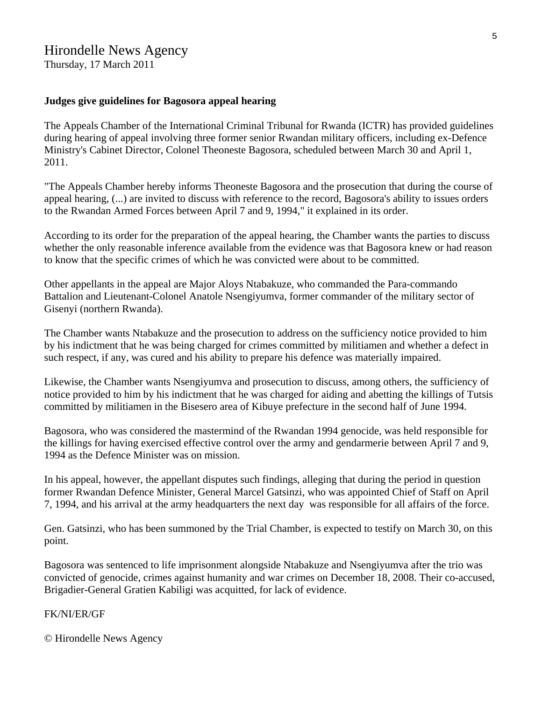## Hirondelle News Agency

Thursday, 17 March 2011

### **Judges give guidelines for Bagosora appeal hearing**

The Appeals Chamber of the International Criminal Tribunal for Rwanda (ICTR) has provided guidelines during hearing of appeal involving three former senior Rwandan military officers, including ex-Defence Ministry's Cabinet Director, Colonel Theoneste Bagosora, scheduled between March 30 and April 1, 2011.

"The Appeals Chamber hereby informs Theoneste Bagosora and the prosecution that during the course of appeal hearing, (...) are invited to discuss with reference to the record, Bagosora's ability to issues orders to the Rwandan Armed Forces between April 7 and 9, 1994," it explained in its order.

According to its order for the preparation of the appeal hearing, the Chamber wants the parties to discuss whether the only reasonable inference available from the evidence was that Bagosora knew or had reason to know that the specific crimes of which he was convicted were about to be committed.

Other appellants in the appeal are Major Aloys Ntabakuze, who commanded the Para-commando Battalion and Lieutenant-Colonel Anatole Nsengiyumva, former commander of the military sector of Gisenyi (northern Rwanda).

The Chamber wants Ntabakuze and the prosecution to address on the sufficiency notice provided to him by his indictment that he was being charged for crimes committed by militiamen and whether a defect in such respect, if any, was cured and his ability to prepare his defence was materially impaired.

Likewise, the Chamber wants Nsengiyumva and prosecution to discuss, among others, the sufficiency of notice provided to him by his indictment that he was charged for aiding and abetting the killings of Tutsis committed by militiamen in the Bisesero area of Kibuye prefecture in the second half of June 1994.

Bagosora, who was considered the mastermind of the Rwandan 1994 genocide, was held responsible for the killings for having exercised effective control over the army and gendarmerie between April 7 and 9, 1994 as the Defence Minister was on mission.

In his appeal, however, the appellant disputes such findings, alleging that during the period in question former Rwandan Defence Minister, General Marcel Gatsinzi, who was appointed Chief of Staff on April 7, 1994, and his arrival at the army headquarters the next day was responsible for all affairs of the force.

Gen. Gatsinzi, who has been summoned by the Trial Chamber, is expected to testify on March 30, on this point.

Bagosora was sentenced to life imprisonment alongside Ntabakuze and Nsengiyumva after the trio was convicted of genocide, crimes against humanity and war crimes on December 18, 2008. Their co-accused, Brigadier-General Gratien Kabiligi was acquitted, for lack of evidence.

## FK/NI/ER/GF

© Hirondelle News Agency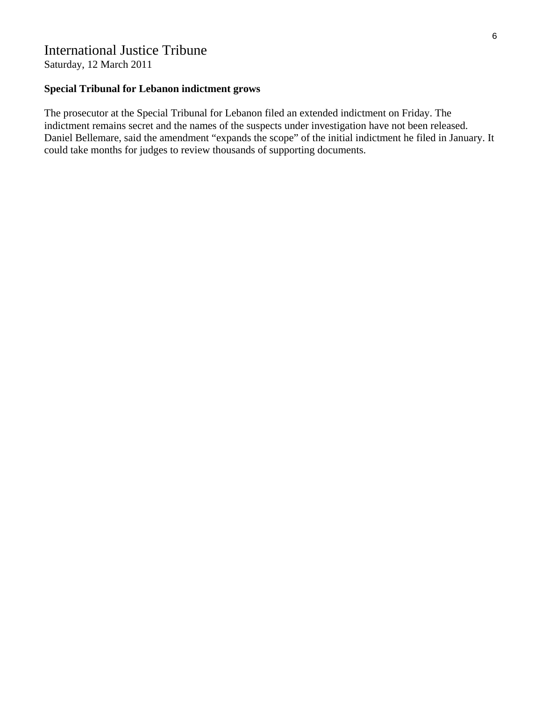## International Justice Tribune

Saturday, 12 March 2011

## **Special Tribunal for Lebanon indictment grows**

The prosecutor at the Special Tribunal for Lebanon filed an extended indictment on Friday. The indictment remains secret and the names of the suspects under investigation have not been released. Daniel Bellemare, said the amendment "expands the scope" of the initial indictment he filed in January. It could take months for judges to review thousands of supporting documents.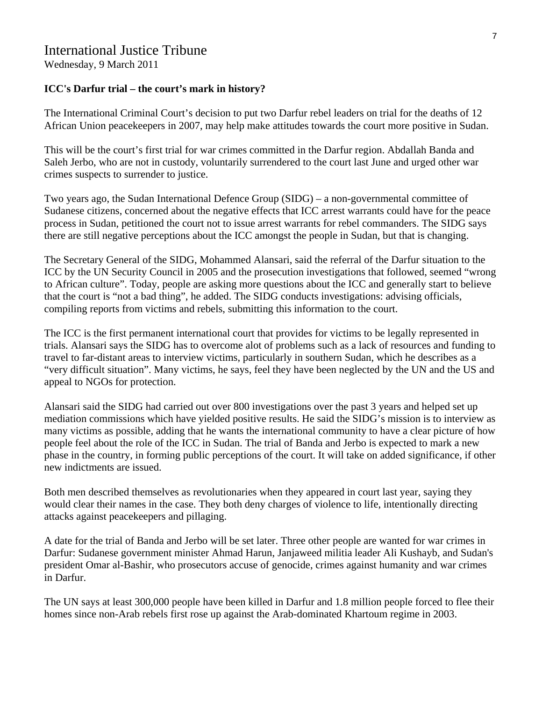## International Justice Tribune

Wednesday, 9 March 2011

### **ICC's Darfur trial – the court's mark in history?**

The International Criminal Court's decision to put two Darfur rebel leaders on trial for the deaths of 12 African Union peacekeepers in 2007, may help make attitudes towards the court more positive in Sudan.

This will be the court's first trial for war crimes committed in the Darfur region. Abdallah Banda and Saleh Jerbo, who are not in custody, voluntarily surrendered to the court last June and urged other war crimes suspects to surrender to justice.

Two years ago, the Sudan International Defence Group (SIDG) – a non-governmental committee of Sudanese citizens, concerned about the negative effects that ICC arrest warrants could have for the peace process in Sudan, petitioned the court not to issue arrest warrants for rebel commanders. The SIDG says there are still negative perceptions about the ICC amongst the people in Sudan, but that is changing.

The Secretary General of the SIDG, Mohammed Alansari, said the referral of the Darfur situation to the ICC by the UN Security Council in 2005 and the prosecution investigations that followed, seemed "wrong to African culture". Today, people are asking more questions about the ICC and generally start to believe that the court is "not a bad thing", he added. The SIDG conducts investigations: advising officials, compiling reports from victims and rebels, submitting this information to the court.

The ICC is the first permanent international court that provides for victims to be legally represented in trials. Alansari says the SIDG has to overcome alot of problems such as a lack of resources and funding to travel to far-distant areas to interview victims, particularly in southern Sudan, which he describes as a "very difficult situation". Many victims, he says, feel they have been neglected by the UN and the US and appeal to NGOs for protection.

Alansari said the SIDG had carried out over 800 investigations over the past 3 years and helped set up mediation commissions which have yielded positive results. He said the SIDG's mission is to interview as many victims as possible, adding that he wants the international community to have a clear picture of how people feel about the role of the ICC in Sudan. The trial of Banda and Jerbo is expected to mark a new phase in the country, in forming public perceptions of the court. It will take on added significance, if other new indictments are issued.

Both men described themselves as revolutionaries when they appeared in court last year, saying they would clear their names in the case. They both deny charges of violence to life, intentionally directing attacks against peacekeepers and pillaging.

A date for the trial of Banda and Jerbo will be set later. Three other people are wanted for war crimes in Darfur: Sudanese government minister Ahmad Harun, Janjaweed militia leader Ali Kushayb, and Sudan's president Omar al-Bashir, who prosecutors accuse of genocide, crimes against humanity and war crimes in Darfur.

The UN says at least 300,000 people have been killed in Darfur and 1.8 million people forced to flee their homes since non-Arab rebels first rose up against the Arab-dominated Khartoum regime in 2003.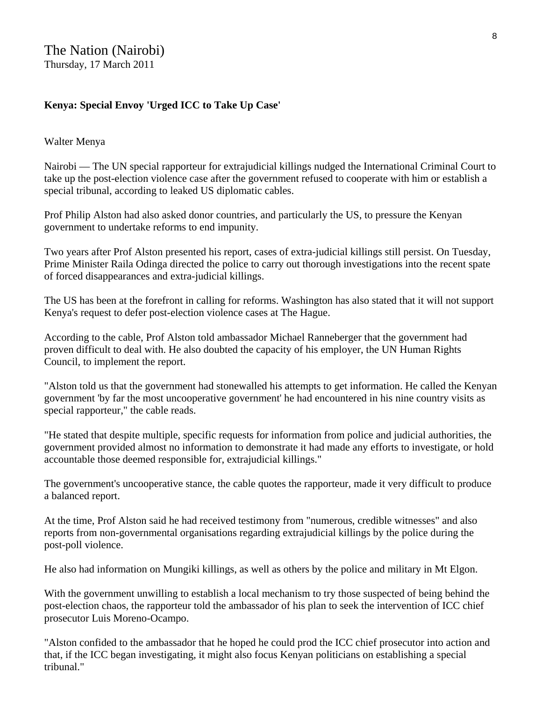## **Kenya: Special Envoy 'Urged ICC to Take Up Case'**

## Walter Menya

Nairobi — The UN special rapporteur for extrajudicial killings nudged the International Criminal Court to take up the post-election violence case after the government refused to cooperate with him or establish a special tribunal, according to leaked US diplomatic cables.

Prof Philip Alston had also asked donor countries, and particularly the US, to pressure the Kenyan government to undertake reforms to end impunity.

Two years after Prof Alston presented his report, cases of extra-judicial killings still persist. On Tuesday, Prime Minister Raila Odinga directed the police to carry out thorough investigations into the recent spate of forced disappearances and extra-judicial killings.

The US has been at the forefront in calling for reforms. Washington has also stated that it will not support Kenya's request to defer post-election violence cases at The Hague.

According to the cable, Prof Alston told ambassador Michael Ranneberger that the government had proven difficult to deal with. He also doubted the capacity of his employer, the UN Human Rights Council, to implement the report.

"Alston told us that the government had stonewalled his attempts to get information. He called the Kenyan government 'by far the most uncooperative government' he had encountered in his nine country visits as special rapporteur," the cable reads.

"He stated that despite multiple, specific requests for information from police and judicial authorities, the government provided almost no information to demonstrate it had made any efforts to investigate, or hold accountable those deemed responsible for, extrajudicial killings."

The government's uncooperative stance, the cable quotes the rapporteur, made it very difficult to produce a balanced report.

At the time, Prof Alston said he had received testimony from "numerous, credible witnesses" and also reports from non-governmental organisations regarding extrajudicial killings by the police during the post-poll violence.

He also had information on Mungiki killings, as well as others by the police and military in Mt Elgon.

With the government unwilling to establish a local mechanism to try those suspected of being behind the post-election chaos, the rapporteur told the ambassador of his plan to seek the intervention of ICC chief prosecutor Luis Moreno-Ocampo.

"Alston confided to the ambassador that he hoped he could prod the ICC chief prosecutor into action and that, if the ICC began investigating, it might also focus Kenyan politicians on establishing a special tribunal."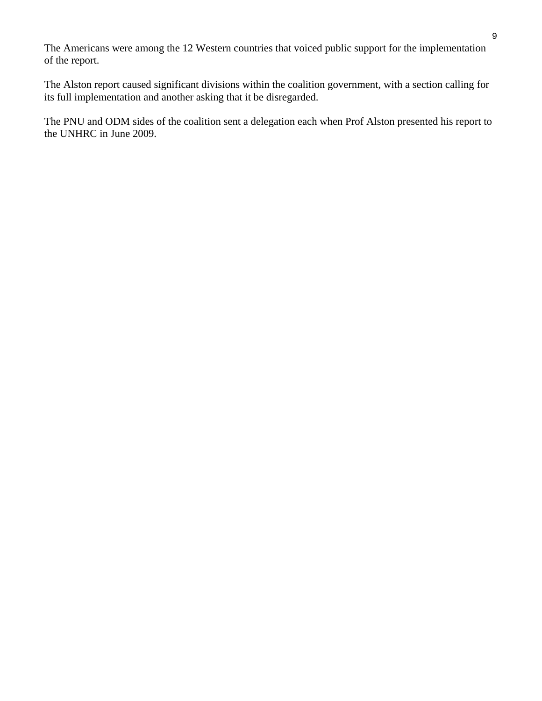The Americans were among the 12 Western countries that voiced public support for the implementation of the report.

The Alston report caused significant divisions within the coalition government, with a section calling for its full implementation and another asking that it be disregarded.

The PNU and ODM sides of the coalition sent a delegation each when Prof Alston presented his report to the UNHRC in June 2009.